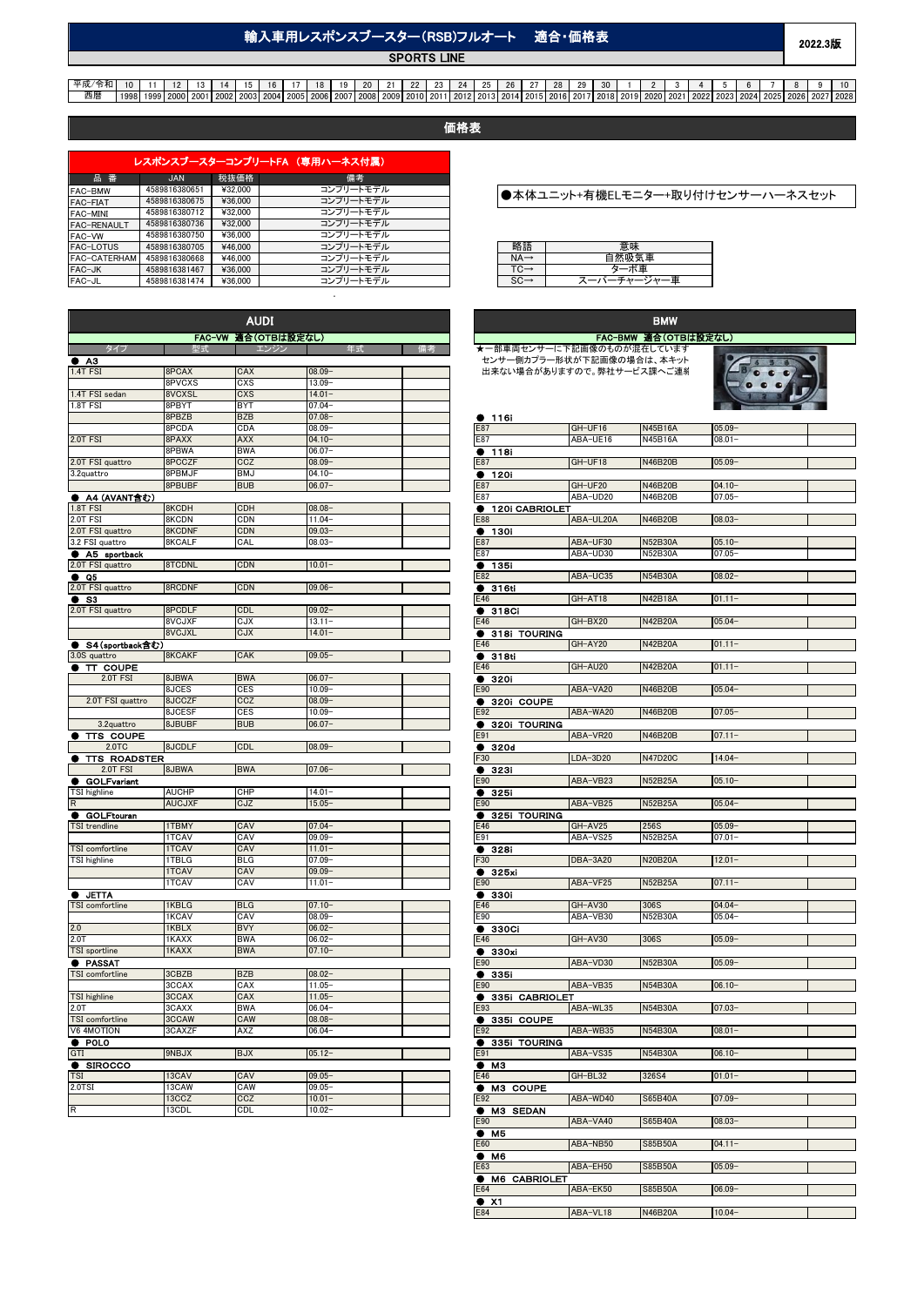## 輸入車用レスポンスブースター(RSB)フルオート 適合・価格表

**SPORTS LINE** 

# 平成/令和 | 10 | 11 | 12 | 13 | 14 | 15 | 16 | 17 | 18 | 19 | 20 | 21 | 22 | 23 | 24 | 25 | 26 | 27 | 28 | 29 | 30 | 1 | 2 | 3 | 4 | 5 | 6 | 7 | 8 | 9 | 10<br>西暦 | 1998 | 1999 | 2000 | 2001 | 2002 | 2003 | 2004 | 2005 | 2006 | 2

価格表

| レスポンスブースターコンプリートFA (専用ハーネス付属) |               |         |           |  |  |
|-------------------------------|---------------|---------|-----------|--|--|
| 品番                            | <b>JAN</b>    | 税抜価格    | 備考        |  |  |
| FAC-BMW                       | 4589816380651 | ¥32.000 | コンプリートモデル |  |  |
| FAC-FIAT                      | 4589816380675 | ¥36,000 | コンプリートモデル |  |  |
| FAC-MINI                      | 4589816380712 | ¥32.000 | コンプリートモデル |  |  |
| FAC-RENAULT                   | 4589816380736 | ¥32.000 | コンプリートモデル |  |  |
| FAC-VW                        | 4589816380750 | ¥36,000 | コンプリートモデル |  |  |
| FAC-LOTUS                     | 4589816380705 | ¥46,000 | コンプリートモデル |  |  |
| FAC-CATERHAM                  | 4589816380668 | ¥46,000 | コンプリートモデル |  |  |
| FAC-JK                        | 4589816381467 | ¥36,000 | コンプリートモデル |  |  |
| FAC-JL                        | 4589816381474 | ¥36,000 | コンプリートモデル |  |  |

.

|                                 |                  | <b>AUDI</b>         |                        |                  |                |
|---------------------------------|------------------|---------------------|------------------------|------------------|----------------|
|                                 |                  | FAC-VW 適合(OTBは設定なし) |                        |                  |                |
|                                 |                  |                     |                        | ★一部車             |                |
| АЗ                              |                  |                     |                        |                  | センサー           |
| 1.4T FSI                        | 8PCAX            | CAX                 | $08.09 -$              |                  | 出来なし           |
|                                 | 8PVCXS           | CXS                 | $13.09 -$              |                  |                |
| 1.4T FSI sedan                  | 8VCXSL           | CXS                 | $14.01 -$              |                  |                |
| 1.8T FSI                        | 8PBYT            | <b>BYT</b>          | $07.04 -$              |                  |                |
|                                 | 8PBZB            | <b>BZB</b>          | $07.08 -$              |                  | 116            |
|                                 | 8PCDA            | CDA                 | $08.09 -$              | E87              |                |
| 2.0T FSI                        | 8PAXX            | <b>AXX</b>          | $04.10 -$              | E87              |                |
|                                 | 8PBWA            | <b>BWA</b>          | 06.07                  | 0                | 118            |
| 2.0T FSI quattro                | 8PCCZF           | CCZ                 | 08.09                  | E87              |                |
| 3.2quattro                      | 8PBMJF           | BMJ                 | 04.10                  |                  | 120i           |
|                                 | 8PBUBF           | <b>BUB</b>          | $06.07 -$              | E87              |                |
| A4 (AVANT含む)                    |                  |                     |                        | E87              |                |
| 1.8T FSI                        | 8KCDH            | CDH                 | 08.08-                 |                  | 120            |
| $2.0T$ FSI                      | 8KCDN            | CDN                 | 11.04                  | E88              |                |
| 2.0T FSI quattro                | 8KCDNF           | CDN                 | $09.03 -$              | ●                | <b>130</b>     |
| 3.2 FSI quattro                 | 8KCALF           | CAL                 | $08.03 -$              | E87              |                |
| A5 sportback                    |                  |                     |                        | E87              |                |
| 2.0T FSI quattro                | 8TCDNL           | <b>CDN</b>          | $10.01 -$              |                  | 135            |
| Q <sub>5</sub><br>n.            |                  |                     |                        | E82              |                |
| 2.0T FSI quattro                | 8RCDNF           | CDN                 | $09.06 -$              |                  | • 3161         |
| S3<br>в                         |                  |                     |                        | E46              |                |
| 2.0T FSI quattro                | 8PCDLF           | CDL                 | $09.02 -$              |                  | $\bullet$ 318  |
|                                 | 8VCJXF           | CJX                 | 13.11                  | E46              |                |
|                                 | 8VCJXL           | CJX                 | $14.01 -$              |                  | 318            |
| S4 (sportback含む)                |                  |                     |                        | E46              |                |
| 3.0S quattro                    | 8KCAKF           | CAK                 | $09.05 -$              |                  | 318            |
| π<br><b>COUPE</b>               |                  |                     |                        | E46              |                |
| 2.0T FSI                        | 8JBWA            | <b>BWA</b>          | 06.07-                 |                  | 320            |
|                                 | 8JCES            | <b>CES</b>          | $10.09 -$              | E90              |                |
| 2.0T FSI quattro                | 8JCCZF<br>8JCESF | CCZ<br><b>CES</b>   | $08.09 -$<br>$10.09 -$ | E92              | $\bullet$ 3201 |
|                                 |                  |                     |                        |                  |                |
| 3.2quattro                      | 8JBUBF           | <b>BUB</b>          | $06.07 -$              | $\bullet$<br>E91 | 320            |
| TTS COUPE<br>2.0TC              | 8JCDLF           | CDL                 | $08.09 -$              |                  |                |
|                                 |                  |                     |                        | F30              | 320            |
| <b>TTS ROADSTER</b><br>2.0T FSI | 8JBWA            | <b>BWA</b>          | 07.06-                 |                  | • 323i         |
| <b>GOLFvariant</b>              |                  |                     |                        | E90              |                |
| TSI highline                    | <b>AUCHP</b>     | CHP                 | $14.01 -$              | $\bullet$        | 325            |
| $\mathsf R$                     | <b>AUCJXF</b>    | CJZ                 | $15.05 -$              | E90              |                |
| <b>GOLFtouran</b>               |                  |                     |                        |                  | 325            |
| <b>TSI</b> trendline            | 1TBMY            | CAV                 | 07.04-                 | E46              |                |
|                                 | <b>ITCAV</b>     | CAV                 | $09.09 -$              | E91              |                |
| TSI comfortline                 | 1TCAV            | CAV                 | $11.01 -$              | D                | 328            |
| TSI highline                    | 1TBLG            | <b>BLG</b>          | 07.09                  | F30              |                |
|                                 | 1TCAV            | CAV                 | $09.09 -$              |                  | 325            |
|                                 | 1TCAV            | CAV                 | $11.01 -$              | E90              |                |
| <b>D</b> JETTA                  |                  |                     |                        | $\bullet$        | 330            |
| TSI comfortline                 | 1KBLG            | <b>BLG</b>          | $07.10 -$              | E46              |                |
|                                 | 1KCAV            | CAV                 | 08.09                  | E90              |                |
| 2.0                             | 1KBLX            | <b>BVY</b>          | $06.02 -$              |                  | 330            |
| 2.0T                            | 1KAXX            | <b>BWA</b>          | $06.02 -$              | E46              |                |
| TSI sportline                   | 1KAXX            | <b>BWA</b>          | $07.10 -$              | $\bullet$        | 330            |
| <b>PASSAT</b>                   |                  |                     |                        | E90              |                |
| TSI comfortline                 | 3CBZB            | <b>BZB</b>          | 08.02-                 |                  | •335i          |
|                                 | 3CCAX            | CAX                 | 11.05-                 | E90              |                |
| <b>TSI</b> highline             | 3CCAX            | CAX                 | $11.05 -$              | D                | 335            |
| 2.0T                            | 3CAXX            | <b>BWA</b>          | $06.04 -$              | E93              |                |
| TSI comfortline                 | 3CCAW            | CAW                 | $08.08 -$              | D                | 335            |
| V6 4MOTION                      | 3CAXZF           | AXZ                 | $06.04 -$              | E92              |                |
| POLO                            |                  |                     |                        |                  | 335            |
| GTI                             | 9NBJX            | <b>BJX</b>          | $05.12 -$              | E91              |                |
| <b>SIROCCO</b>                  |                  |                     |                        | Ð                | мз             |
| <b>TSI</b>                      | 13CAV            | CAV                 | $09.05 -$              | E46              |                |
| 2.0TSI                          | 13CAW            | CAW                 | $09.05 -$              | ø                | мз             |
|                                 | 13CCZ            | CCZ                 | $10.01 -$              | E92              |                |
| R                               | 13CDL            | <b>CDL</b>          | $10.02 -$              |                  | мз             |
|                                 |                  |                     |                        |                  |                |

### ●本体ユニット+有機ELモニター+取り付けセンサーハーネスセット

|           | 思味 |
|-----------|----|
| <b>NA</b> | 直  |
|           | 車  |
|           | ᄈ  |

#### BMW FAC-BMW 適合(OTBは設定なし) ★一部車両センサーに下記画像のものが混在しています センサー側カプラー形状が下記画像の場合は、本キット  $f:$ ーニック 18,33シック 18,500 HubLilesの <sub>約</sub>日は、キーツー<br>出来ない場合がありますので。弊社サービス課へご連絡 ● 116i<br>E87 E87 GH-UF16 N45B16A 05.09-<br>E87 ABA-UE16 N45B16A 08.01-ABA-UE16  $\frac{•}{118i}$ **CH-UF18** N46B20B 05.09 ● 120i E87 GH-UF20 N46B20B 04.10<br>
E87 ABA-UD20 N46B20B 07.05 ABA-UD20 ● 120i CABRIOLET E88 ABA-UL20A N46B20B 08.03- ● 130i E87 ABA-UF30 N52B30A 05.10- ABA-UD30 N52B30A 07.05-● 135i E82 ABA-UC35 N54B30A 08.02- ● 316ti GH-AT18 N42B18A 01.11 ● 318Ci GH-BX20 N42B20A 05.04-● 318i TOURING E46 GH-AY20 N42B20A 01.11-  $\frac{•}{0.318t}$ GH-AU20 N42B20A 01.11-● 320i E90 ABA-VA20 N46B20B 05.04- ● 320i COUPE E92 ABA-WA20 N46B20B 07.05- ● 320i TOURING E91 ABA-VR20 N46B20B 07.11- ● 320d LDA-3D20 N47D20C 14.04-● 323i E90 ABA-VB23 N52B25A 05.10- ● 325i ABA-VB25 N52B25A 05.04-● 325i TOURING GH-AV25 256S 05.09 E91 ABA-VS25 N52B25A 07.01- ● 328i DBA-3A20 N20B20A 12.01-● 325xi<br>E90 ABA-VF25 N52B25A 07.11**a** 3301 **GH-AV30** 306S 04.04<br>E46 **GH-AV30** 306S 04.04 E90 ABA-VB30 N52B30A 05.04- ● 330Ci GH-AV30 306S 05.09- $\frac{•}{0.590}$ ABA-VD30 N52B30A 05.09-● 335i E90 ABA-VB35 N54B30A 06.10- ● 335i CABRIOLET E93 ABA-WL35 N54B30A 07.03- ● 335i COUPE E92 ABA-WB35 N54B30A 08.01- ● 335i TOURING E91 **ABA-VS35** N54B30A 06.10- $\frac{•}{e}$  M3 GH-BL32 326S4 01.01-  $\bullet$  M3 COUPE ABA-WD40 S65B40A 07.09- E9: ● M3 SEDAN E<sub>90</sub> ABA-VA40 S65B40A 08.03-● M5<br>E60 ABA-NB50 S85B50A 04.11- ● M6 ABA-EH50 S85B50A 05.09-E<sub>6</sub> ● M6 CABRIOLET E64 ABA-EK50 S85B50A 06.09- $\frac{\bullet \quad \times 1}{E84}$ ABA-VL18 N46B20A 10.04-